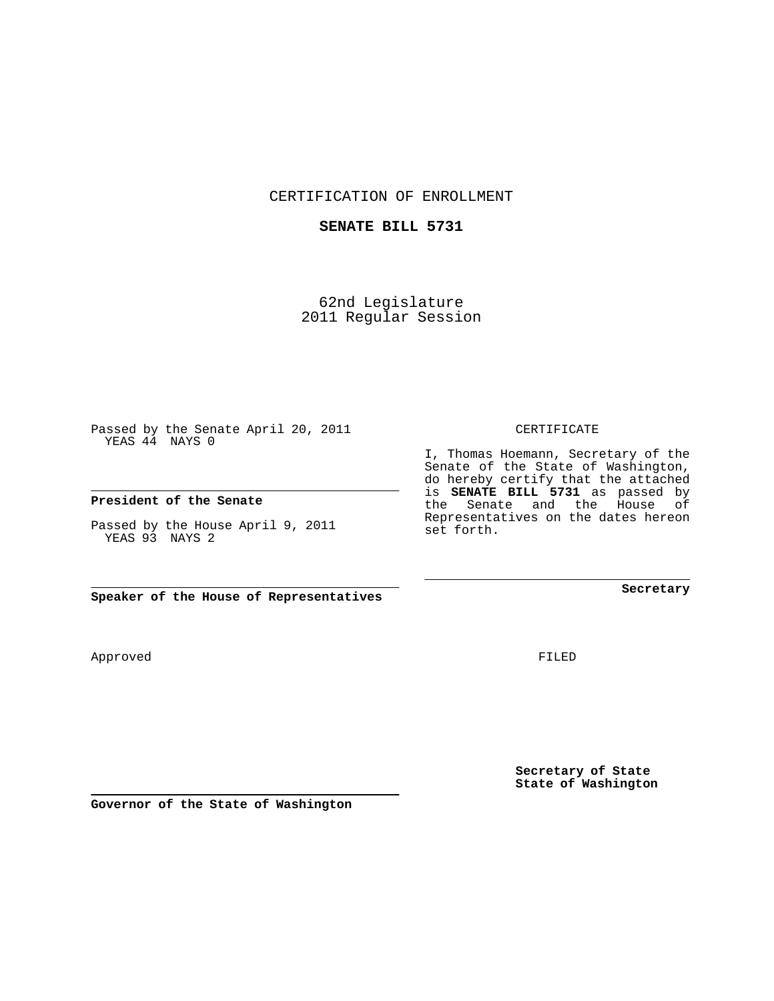CERTIFICATION OF ENROLLMENT

## **SENATE BILL 5731**

62nd Legislature 2011 Regular Session

Passed by the Senate April 20, 2011 YEAS 44 NAYS 0

## **President of the Senate**

Passed by the House April 9, 2011 YEAS 93 NAYS 2

**Speaker of the House of Representatives**

Approved

FILED

**Secretary of State State of Washington**

**Governor of the State of Washington**

CERTIFICATE

I, Thomas Hoemann, Secretary of the Senate of the State of Washington, do hereby certify that the attached is **SENATE BILL 5731** as passed by the Senate and the House of Representatives on the dates hereon set forth.

**Secretary**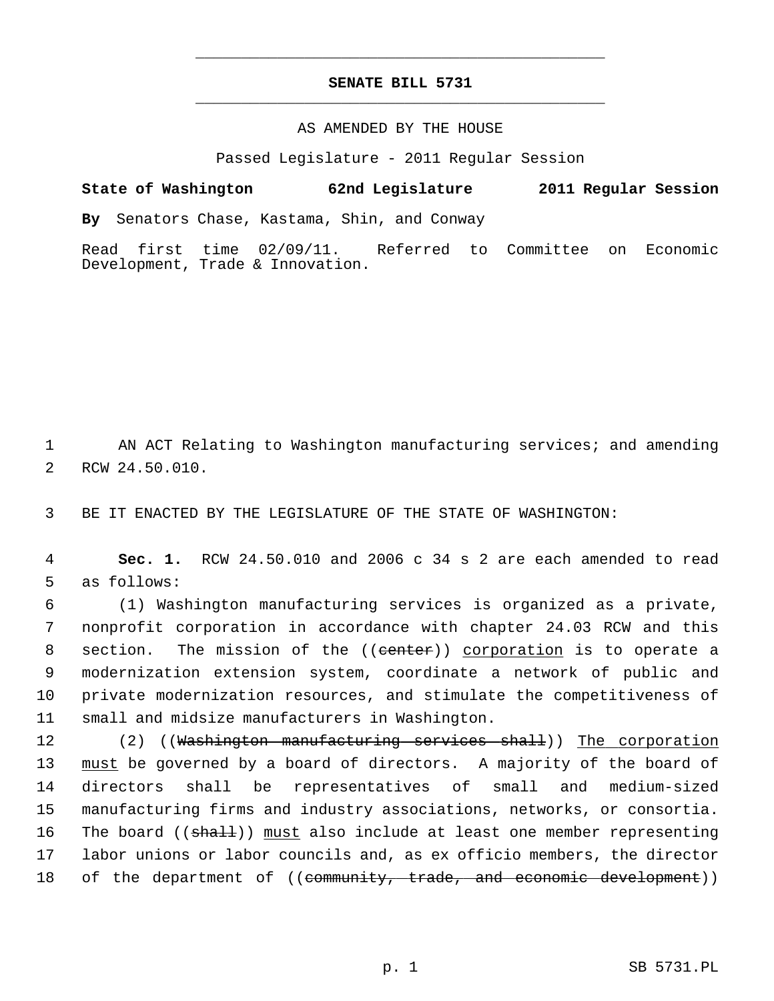## **SENATE BILL 5731** \_\_\_\_\_\_\_\_\_\_\_\_\_\_\_\_\_\_\_\_\_\_\_\_\_\_\_\_\_\_\_\_\_\_\_\_\_\_\_\_\_\_\_\_\_

\_\_\_\_\_\_\_\_\_\_\_\_\_\_\_\_\_\_\_\_\_\_\_\_\_\_\_\_\_\_\_\_\_\_\_\_\_\_\_\_\_\_\_\_\_

## AS AMENDED BY THE HOUSE

Passed Legislature - 2011 Regular Session

**State of Washington 62nd Legislature 2011 Regular Session**

**By** Senators Chase, Kastama, Shin, and Conway

Read first time 02/09/11. Referred to Committee on Economic Development, Trade & Innovation.

 1 AN ACT Relating to Washington manufacturing services; and amending 2 RCW 24.50.010.

3 BE IT ENACTED BY THE LEGISLATURE OF THE STATE OF WASHINGTON:

 4 **Sec. 1.** RCW 24.50.010 and 2006 c 34 s 2 are each amended to read 5 as follows:

 6 (1) Washington manufacturing services is organized as a private, 7 nonprofit corporation in accordance with chapter 24.03 RCW and this 8 section. The mission of the ((eenter)) corporation is to operate a 9 modernization extension system, coordinate a network of public and 10 private modernization resources, and stimulate the competitiveness of 11 small and midsize manufacturers in Washington.

12 (2) ((Washington manufacturing services shall)) The corporation 13 must be governed by a board of directors. A majority of the board of 14 directors shall be representatives of small and medium-sized 15 manufacturing firms and industry associations, networks, or consortia. 16 The board ((shall)) must also include at least one member representing 17 labor unions or labor councils and, as ex officio members, the director 18 of the department of ((community, trade, and economic development))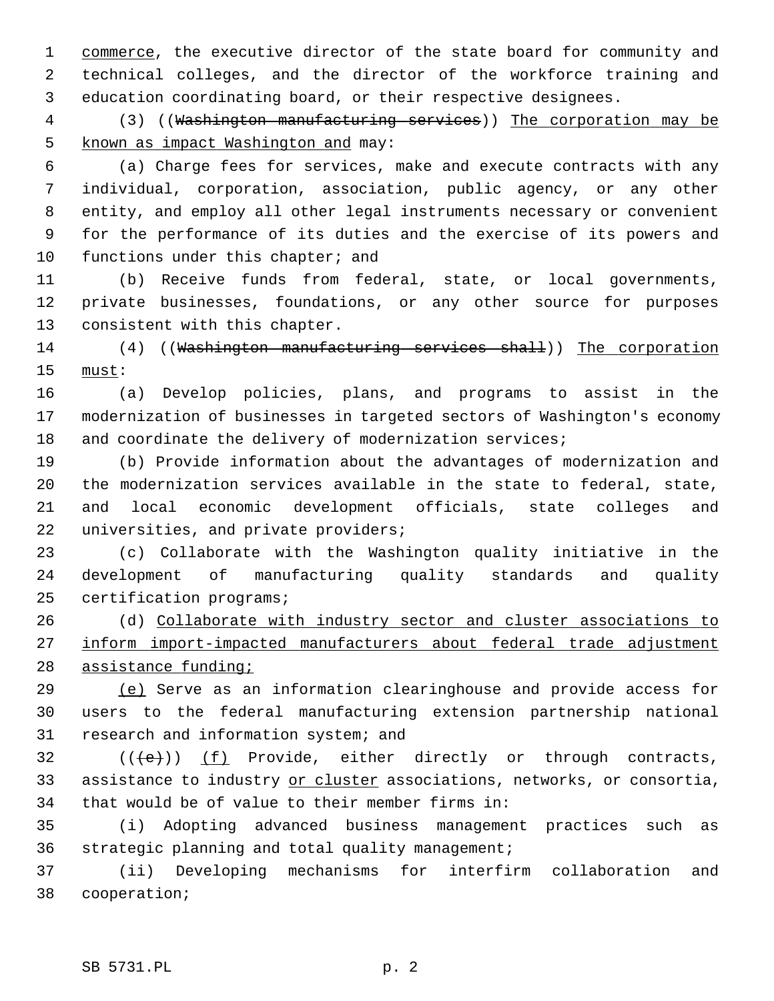1 commerce, the executive director of the state board for community and 2 technical colleges, and the director of the workforce training and 3 education coordinating board, or their respective designees.

4 (3) ((Washington manufacturing services)) The corporation may be 5 known as impact Washington and may:

 6 (a) Charge fees for services, make and execute contracts with any 7 individual, corporation, association, public agency, or any other 8 entity, and employ all other legal instruments necessary or convenient 9 for the performance of its duties and the exercise of its powers and 10 functions under this chapter; and

11 (b) Receive funds from federal, state, or local governments, 12 private businesses, foundations, or any other source for purposes 13 consistent with this chapter.

14 (4) ((Washington manufacturing services shall)) The corporation 15 must:

16 (a) Develop policies, plans, and programs to assist in the 17 modernization of businesses in targeted sectors of Washington's economy 18 and coordinate the delivery of modernization services;

19 (b) Provide information about the advantages of modernization and 20 the modernization services available in the state to federal, state, 21 and local economic development officials, state colleges and 22 universities, and private providers;

23 (c) Collaborate with the Washington quality initiative in the 24 development of manufacturing quality standards and quality 25 certification programs;

26 (d) Collaborate with industry sector and cluster associations to 27 inform import-impacted manufacturers about federal trade adjustment 28 assistance funding;

29 (e) Serve as an information clearinghouse and provide access for 30 users to the federal manufacturing extension partnership national 31 research and information system; and

32  $((\text{+e})^*)$  (f) Provide, either directly or through contracts, 33 assistance to industry or cluster associations, networks, or consortia, 34 that would be of value to their member firms in:

35 (i) Adopting advanced business management practices such as 36 strategic planning and total quality management;

37 (ii) Developing mechanisms for interfirm collaboration and 38 cooperation;